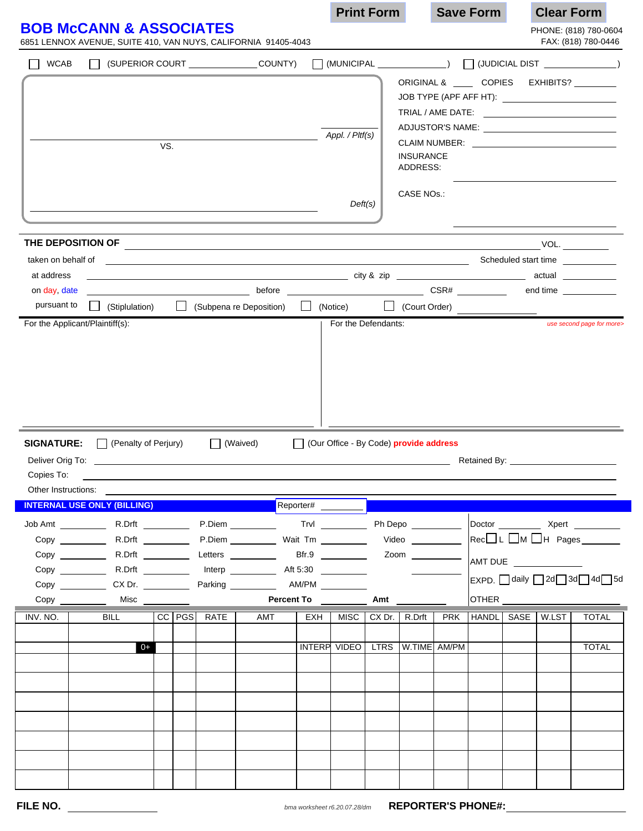|                                                     |                                                                                                                                                                                                                                |                                                                                 |  |                 |                        |  | <b>Print Form</b>                                                                                                                                                                                                                                                                                                                            |                     |                      |                                          | <b>Save Form</b> |                                                                               | <b>Clear Form</b> |                  |                                                                                                                                                                                                                                |  |
|-----------------------------------------------------|--------------------------------------------------------------------------------------------------------------------------------------------------------------------------------------------------------------------------------|---------------------------------------------------------------------------------|--|-----------------|------------------------|--|----------------------------------------------------------------------------------------------------------------------------------------------------------------------------------------------------------------------------------------------------------------------------------------------------------------------------------------------|---------------------|----------------------|------------------------------------------|------------------|-------------------------------------------------------------------------------|-------------------|------------------|--------------------------------------------------------------------------------------------------------------------------------------------------------------------------------------------------------------------------------|--|
|                                                     | <b>BOB McCANN &amp; ASSOCIATES</b><br>6851 LENNOX AVENUE, SUITE 410, VAN NUYS, CALIFORNIA 91405-4043                                                                                                                           |                                                                                 |  |                 |                        |  |                                                                                                                                                                                                                                                                                                                                              |                     |                      |                                          |                  |                                                                               |                   |                  | PHONE: (818) 780-0604<br>FAX: (818) 780-0446                                                                                                                                                                                   |  |
| <b>WCAB</b>                                         |                                                                                                                                                                                                                                | SUPERIOR COURT COUNTY)                                                          |  |                 |                        |  | $\begin{picture}(150,10) \put(0,0){\line(1,0){100}} \put(15,0){\line(1,0){100}} \put(15,0){\line(1,0){100}} \put(15,0){\line(1,0){100}} \put(15,0){\line(1,0){100}} \put(15,0){\line(1,0){100}} \put(15,0){\line(1,0){100}} \put(15,0){\line(1,0){100}} \put(15,0){\line(1,0){100}} \put(15,0){\line(1,0){100}} \put(15,0){\line(1,0){100}}$ |                     |                      |                                          |                  |                                                                               |                   |                  |                                                                                                                                                                                                                                |  |
|                                                     |                                                                                                                                                                                                                                |                                                                                 |  |                 |                        |  |                                                                                                                                                                                                                                                                                                                                              |                     |                      |                                          |                  |                                                                               |                   |                  | ORIGINAL & ____ COPIES EXHIBITS? _____                                                                                                                                                                                         |  |
|                                                     |                                                                                                                                                                                                                                |                                                                                 |  |                 |                        |  |                                                                                                                                                                                                                                                                                                                                              |                     |                      |                                          |                  |                                                                               |                   |                  | $\blacktriangleright$                                                                                                                                                                                                          |  |
|                                                     |                                                                                                                                                                                                                                |                                                                                 |  |                 |                        |  |                                                                                                                                                                                                                                                                                                                                              |                     |                      |                                          |                  |                                                                               |                   |                  |                                                                                                                                                                                                                                |  |
|                                                     |                                                                                                                                                                                                                                |                                                                                 |  |                 |                        |  |                                                                                                                                                                                                                                                                                                                                              |                     | $\blacktriangledown$ |                                          |                  |                                                                               |                   |                  | ADJUSTOR'S NAME: _____________________________                                                                                                                                                                                 |  |
|                                                     |                                                                                                                                                                                                                                | VS.                                                                             |  |                 |                        |  |                                                                                                                                                                                                                                                                                                                                              | Appl. / Pltf(s)     |                      |                                          |                  |                                                                               |                   |                  |                                                                                                                                                                                                                                |  |
|                                                     |                                                                                                                                                                                                                                |                                                                                 |  |                 |                        |  |                                                                                                                                                                                                                                                                                                                                              |                     |                      | <b>INSURANCE</b>                         |                  |                                                                               |                   |                  |                                                                                                                                                                                                                                |  |
|                                                     |                                                                                                                                                                                                                                |                                                                                 |  |                 |                        |  |                                                                                                                                                                                                                                                                                                                                              |                     |                      | ADDRESS:                                 |                  |                                                                               |                   |                  |                                                                                                                                                                                                                                |  |
|                                                     |                                                                                                                                                                                                                                |                                                                                 |  |                 |                        |  |                                                                                                                                                                                                                                                                                                                                              |                     |                      |                                          |                  |                                                                               |                   |                  |                                                                                                                                                                                                                                |  |
|                                                     |                                                                                                                                                                                                                                |                                                                                 |  |                 |                        |  |                                                                                                                                                                                                                                                                                                                                              | Deft(s)             |                      | <b>CASE NOs.:</b>                        |                  |                                                                               |                   |                  |                                                                                                                                                                                                                                |  |
|                                                     |                                                                                                                                                                                                                                |                                                                                 |  |                 |                        |  |                                                                                                                                                                                                                                                                                                                                              |                     |                      |                                          |                  |                                                                               |                   |                  |                                                                                                                                                                                                                                |  |
|                                                     |                                                                                                                                                                                                                                |                                                                                 |  |                 |                        |  |                                                                                                                                                                                                                                                                                                                                              |                     |                      |                                          |                  |                                                                               |                   |                  | VOL.                                                                                                                                                                                                                           |  |
|                                                     | taken on behalf of which contains the contract of the contract of the contract of the contract of the contract of the contract of the contract of the contract of the contract of the contract of the contract of the contract |                                                                                 |  |                 |                        |  |                                                                                                                                                                                                                                                                                                                                              |                     |                      |                                          |                  |                                                                               |                   |                  | Scheduled start time                                                                                                                                                                                                           |  |
| at address                                          |                                                                                                                                                                                                                                |                                                                                 |  |                 |                        |  |                                                                                                                                                                                                                                                                                                                                              |                     |                      |                                          |                  |                                                                               |                   |                  |                                                                                                                                                                                                                                |  |
| on day, date                                        |                                                                                                                                                                                                                                |                                                                                 |  |                 |                        |  |                                                                                                                                                                                                                                                                                                                                              |                     |                      |                                          |                  |                                                                               |                   |                  | end time                                                                                                                                                                                                                       |  |
| pursuant to                                         | (Stiplulation)                                                                                                                                                                                                                 |                                                                                 |  |                 | Subpena re Deposition) |  |                                                                                                                                                                                                                                                                                                                                              | $\Box$ (Notice)     |                      | Court Order)                             |                  |                                                                               |                   |                  |                                                                                                                                                                                                                                |  |
|                                                     | For the Applicant/Plaintiff(s):                                                                                                                                                                                                |                                                                                 |  |                 |                        |  |                                                                                                                                                                                                                                                                                                                                              | For the Defendants: |                      |                                          |                  |                                                                               |                   |                  | use second page for more>                                                                                                                                                                                                      |  |
| <b>SIGNATURE:</b><br>Deliver Orig To:<br>Copies To: | $\Box$ (Penalty of Perjury)<br>and the control of the control of the control of the control of the control of the control of the control of the                                                                                |                                                                                 |  | (Waived)        |                        |  |                                                                                                                                                                                                                                                                                                                                              |                     |                      | □ (Our Office - By Code) provide address |                  |                                                                               |                   |                  | Retained By: Network and Security and Security and Security and Security and Security and Security and Security and Security and Security and Security and Security and Security and Security and Security and Security and Se |  |
|                                                     | Other Instructions:<br><b>INTERNAL USE ONLY (BILLING)</b>                                                                                                                                                                      |                                                                                 |  |                 |                        |  |                                                                                                                                                                                                                                                                                                                                              |                     |                      |                                          |                  |                                                                               |                   |                  |                                                                                                                                                                                                                                |  |
|                                                     | Reporter# ________                                                                                                                                                                                                             |                                                                                 |  |                 |                        |  |                                                                                                                                                                                                                                                                                                                                              |                     |                      |                                          |                  |                                                                               |                   |                  |                                                                                                                                                                                                                                |  |
|                                                     | $Copy \_$                                                                                                                                                                                                                      |                                                                                 |  |                 |                        |  |                                                                                                                                                                                                                                                                                                                                              |                     |                      |                                          |                  | Doctor ___________ Xpert _________<br>$Rec$ L $\Box$ M $\Box$ H Pages _______ |                   |                  |                                                                                                                                                                                                                                |  |
|                                                     | Copy                                                                                                                                                                                                                           | R.Drft _____________ Letters _____________ Bfr.9 ____________ Zoom ____________ |  |                 |                        |  |                                                                                                                                                                                                                                                                                                                                              |                     |                      |                                          |                  |                                                                               |                   |                  |                                                                                                                                                                                                                                |  |
|                                                     |                                                                                                                                                                                                                                |                                                                                 |  |                 |                        |  |                                                                                                                                                                                                                                                                                                                                              |                     |                      |                                          |                  |                                                                               |                   |                  |                                                                                                                                                                                                                                |  |
|                                                     | $Copy \_\_\_\_$ $CX Dr. \_\_\_\_\_\_\_\_$                                                                                                                                                                                      |                                                                                 |  |                 |                        |  |                                                                                                                                                                                                                                                                                                                                              |                     |                      |                                          |                  | $\mathsf{ExPD}$ . $\Box$ daily $\Box$ 2d $\Box$ 3d $\Box$ 4d $\Box$ 5d        |                   |                  |                                                                                                                                                                                                                                |  |
|                                                     | Misc $\_\_$                                                                                                                                                                                                                    |                                                                                 |  |                 |                        |  | Percent To Amt                                                                                                                                                                                                                                                                                                                               |                     |                      |                                          |                  |                                                                               | OTHER             |                  |                                                                                                                                                                                                                                |  |
| INV. NO.                                            | BILL                                                                                                                                                                                                                           |                                                                                 |  | CC   PGS   RATE | AMT                    |  | EXH                                                                                                                                                                                                                                                                                                                                          | MISC                |                      | $CX$ Dr. $\vert$ R.Drft                  | <b>PRK</b>       |                                                                               |                   | HANDL SASE W.LST | <b>TOTAL</b>                                                                                                                                                                                                                   |  |
|                                                     | $0+$                                                                                                                                                                                                                           |                                                                                 |  |                 |                        |  |                                                                                                                                                                                                                                                                                                                                              | INTERP VIDEO        |                      | LTRS   W.TIME   AM/PM                    |                  |                                                                               |                   |                  | <b>TOTAL</b>                                                                                                                                                                                                                   |  |
|                                                     |                                                                                                                                                                                                                                |                                                                                 |  |                 |                        |  |                                                                                                                                                                                                                                                                                                                                              |                     |                      |                                          |                  |                                                                               |                   |                  |                                                                                                                                                                                                                                |  |
|                                                     |                                                                                                                                                                                                                                |                                                                                 |  |                 |                        |  |                                                                                                                                                                                                                                                                                                                                              |                     |                      |                                          |                  |                                                                               |                   |                  |                                                                                                                                                                                                                                |  |
|                                                     |                                                                                                                                                                                                                                |                                                                                 |  |                 |                        |  |                                                                                                                                                                                                                                                                                                                                              |                     |                      |                                          |                  |                                                                               |                   |                  |                                                                                                                                                                                                                                |  |
|                                                     |                                                                                                                                                                                                                                |                                                                                 |  |                 |                        |  |                                                                                                                                                                                                                                                                                                                                              |                     |                      |                                          |                  |                                                                               |                   |                  |                                                                                                                                                                                                                                |  |
|                                                     |                                                                                                                                                                                                                                |                                                                                 |  |                 |                        |  |                                                                                                                                                                                                                                                                                                                                              |                     |                      |                                          |                  |                                                                               |                   |                  |                                                                                                                                                                                                                                |  |
|                                                     |                                                                                                                                                                                                                                |                                                                                 |  |                 |                        |  |                                                                                                                                                                                                                                                                                                                                              |                     |                      |                                          |                  |                                                                               |                   |                  |                                                                                                                                                                                                                                |  |
|                                                     |                                                                                                                                                                                                                                |                                                                                 |  |                 |                        |  |                                                                                                                                                                                                                                                                                                                                              |                     |                      |                                          |                  |                                                                               |                   |                  |                                                                                                                                                                                                                                |  |
|                                                     |                                                                                                                                                                                                                                |                                                                                 |  |                 |                        |  |                                                                                                                                                                                                                                                                                                                                              |                     |                      |                                          |                  |                                                                               |                   |                  |                                                                                                                                                                                                                                |  |
|                                                     |                                                                                                                                                                                                                                |                                                                                 |  |                 |                        |  |                                                                                                                                                                                                                                                                                                                                              |                     |                      |                                          |                  |                                                                               |                   |                  |                                                                                                                                                                                                                                |  |

**REPORTER'S PHONE#:** *bma worksheet r6.20.07.28/dm*